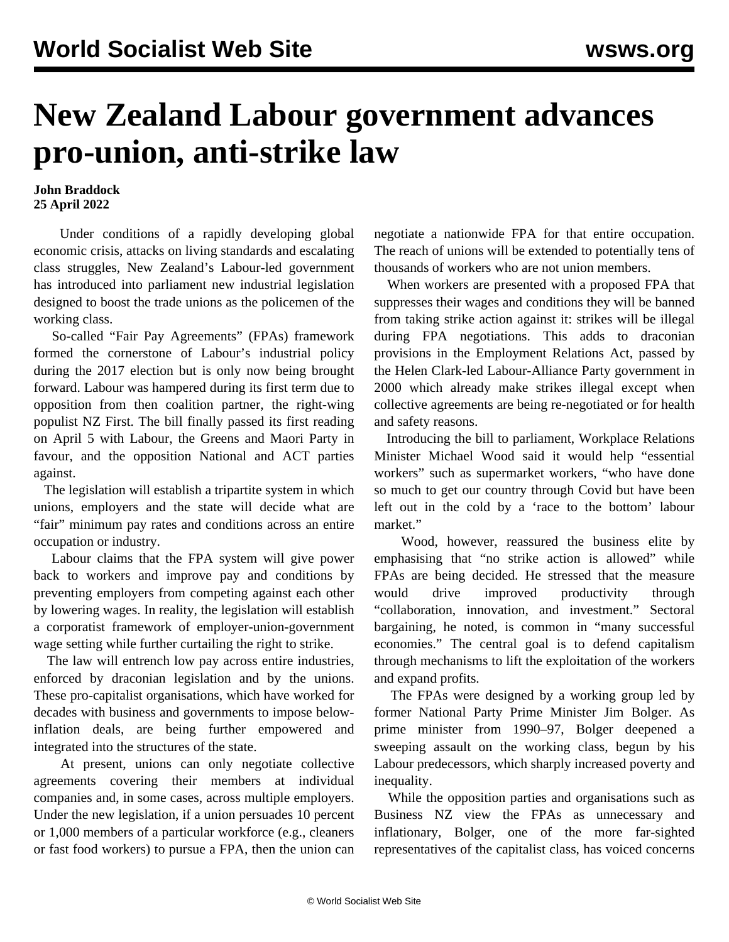## **New Zealand Labour government advances pro-union, anti-strike law**

## **John Braddock 25 April 2022**

 Under conditions of a rapidly developing global economic crisis, attacks on living standards and escalating class struggles, New Zealand's Labour-led government has introduced into parliament new industrial legislation designed to boost the trade unions as the policemen of the working class.

 So-called "Fair Pay Agreements" (FPAs) framework formed the cornerstone of Labour's industrial [policy](/en/articles/2017/11/10/nzir-n10.html) during the 2017 election but is only now being brought forward. Labour was hampered during its first term due to opposition from then coalition partner, the right-wing populist NZ First. The bill finally passed its first reading on April 5 with Labour, the Greens and Maori Party in favour, and the opposition National and ACT parties against.

 The legislation will establish a tripartite system in which unions, employers and the state will decide what are "fair" minimum pay rates and conditions across an entire occupation or industry.

 Labour claims that the FPA system will give power back to workers and improve pay and conditions by preventing employers from competing against each other by lowering wages. In reality, the legislation will establish a corporatist framework of employer-union-government wage setting while further curtailing the right to strike.

 The law will entrench low pay across entire industries, enforced by draconian legislation and by the unions. These pro-capitalist organisations, which have worked for decades with business and governments to impose belowinflation deals, are being further empowered and integrated into the structures of the state.

 At present, unions can only negotiate collective agreements covering their members at individual companies and, in some cases, across multiple employers. Under the new legislation, if a union persuades 10 percent or 1,000 members of a particular workforce (e.g., cleaners or fast food workers) to pursue a FPA, then the union can

negotiate a nationwide FPA for that entire occupation. The reach of unions will be extended to potentially tens of thousands of workers who are not union members.

 When workers are presented with a proposed FPA that suppresses their wages and conditions they will be banned from taking strike action against it: strikes will be illegal during FPA negotiations. This adds to draconian provisions in the Employment Relations Act, passed by the Helen Clark-led Labour-Alliance Party government in 2000 which already make strikes illegal except when collective agreements are being re-negotiated or for health and safety reasons.

 Introducing the bill to parliament, Workplace Relations Minister Michael Wood said it would help "essential workers" such as supermarket workers, "who have done so much to get our country through Covid but have been left out in the cold by a 'race to the bottom' labour market."

 Wood, however, reassured the business elite by emphasising that "no strike action is allowed" while FPAs are being decided. He stressed that the measure would drive improved productivity through "collaboration, innovation, and investment." Sectoral bargaining, he noted, is common in "many successful economies." The central goal is to defend capitalism through mechanisms to lift the exploitation of the workers and expand profits.

 The FPAs were designed by a working group led by former National Party Prime Minister Jim Bolger. As prime minister from 1990–97, Bolger deepened a sweeping assault on the working class, begun by his Labour predecessors, which sharply increased poverty and inequality.

 While the opposition parties and organisations such as Business NZ view the FPAs as unnecessary and inflationary, Bolger, one of the more far-sighted representatives of the capitalist class, has voiced concerns